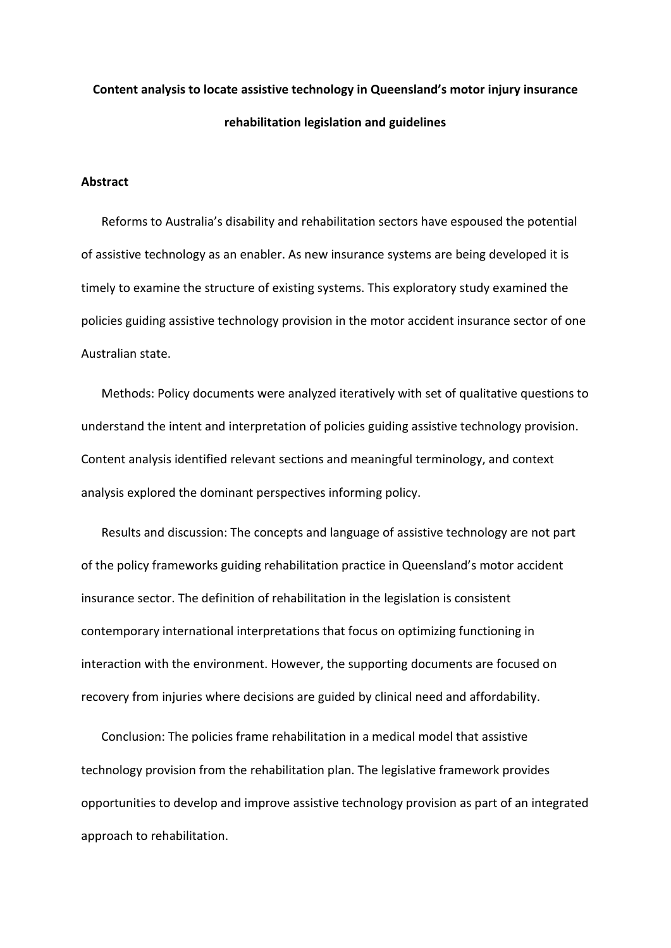# **Content analysis to locate assistive technology in Queensland's motor injury insurance rehabilitation legislation and guidelines**

#### **Abstract**

Reforms to Australia's disability and rehabilitation sectors have espoused the potential of assistive technology as an enabler. As new insurance systems are being developed it is timely to examine the structure of existing systems. This exploratory study examined the policies guiding assistive technology provision in the motor accident insurance sector of one Australian state.

Methods: Policy documents were analyzed iteratively with set of qualitative questions to understand the intent and interpretation of policies guiding assistive technology provision. Content analysis identified relevant sections and meaningful terminology, and context analysis explored the dominant perspectives informing policy.

Results and discussion: The concepts and language of assistive technology are not part of the policy frameworks guiding rehabilitation practice in Queensland's motor accident insurance sector. The definition of rehabilitation in the legislation is consistent contemporary international interpretations that focus on optimizing functioning in interaction with the environment. However, the supporting documents are focused on recovery from injuries where decisions are guided by clinical need and affordability.

Conclusion: The policies frame rehabilitation in a medical model that assistive technology provision from the rehabilitation plan. The legislative framework provides opportunities to develop and improve assistive technology provision as part of an integrated approach to rehabilitation.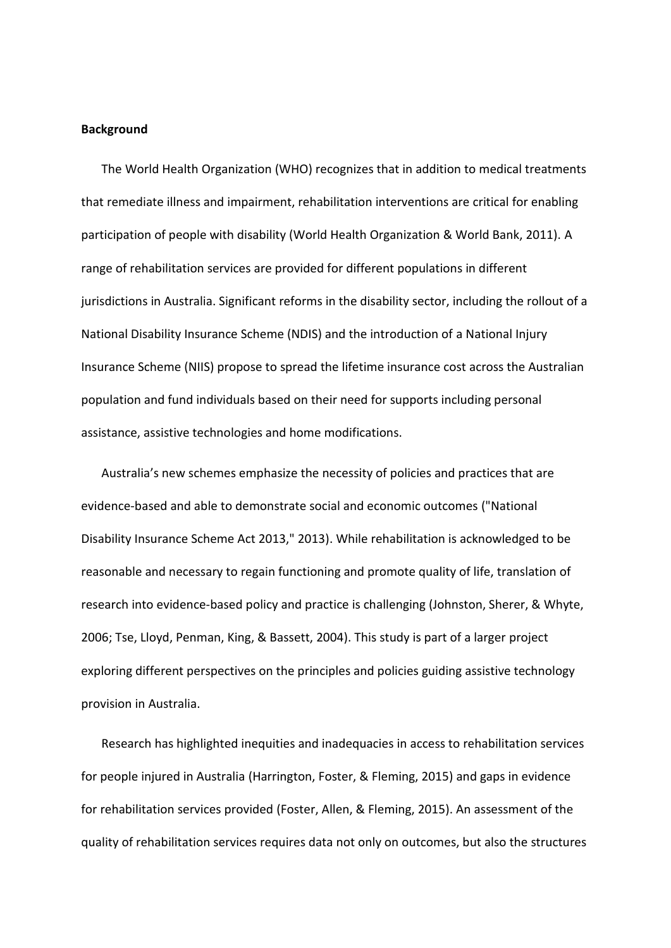### **Background**

The World Health Organization (WHO) recognizes that in addition to medical treatments that remediate illness and impairment, rehabilitation interventions are critical for enabling participation of people with disability (World Health Organization & World Bank, 2011). A range of rehabilitation services are provided for different populations in different jurisdictions in Australia. Significant reforms in the disability sector, including the rollout of a National Disability Insurance Scheme (NDIS) and the introduction of a National Injury Insurance Scheme (NIIS) propose to spread the lifetime insurance cost across the Australian population and fund individuals based on their need for supports including personal assistance, assistive technologies and home modifications.

Australia's new schemes emphasize the necessity of policies and practices that are evidence-based and able to demonstrate social and economic outcomes ("National Disability Insurance Scheme Act 2013," 2013). While rehabilitation is acknowledged to be reasonable and necessary to regain functioning and promote quality of life, translation of research into evidence-based policy and practice is challenging (Johnston, Sherer, & Whyte, 2006; Tse, Lloyd, Penman, King, & Bassett, 2004). This study is part of a larger project exploring different perspectives on the principles and policies guiding assistive technology provision in Australia.

Research has highlighted inequities and inadequacies in access to rehabilitation services for people injured in Australia (Harrington, Foster, & Fleming, 2015) and gaps in evidence for rehabilitation services provided (Foster, Allen, & Fleming, 2015). An assessment of the quality of rehabilitation services requires data not only on outcomes, but also the structures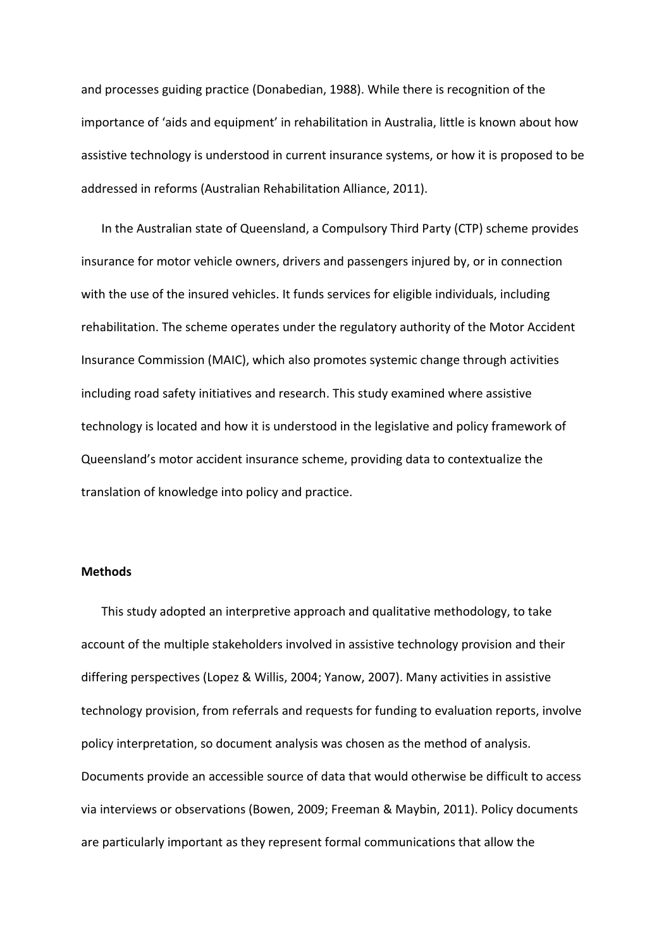and processes guiding practice (Donabedian, 1988). While there is recognition of the importance of 'aids and equipment' in rehabilitation in Australia, little is known about how assistive technology is understood in current insurance systems, or how it is proposed to be addressed in reforms (Australian Rehabilitation Alliance, 2011).

In the Australian state of Queensland, a Compulsory Third Party (CTP) scheme provides insurance for motor vehicle owners, drivers and passengers injured by, or in connection with the use of the insured vehicles. It funds services for eligible individuals, including rehabilitation. The scheme operates under the regulatory authority of the Motor Accident Insurance Commission (MAIC), which also promotes systemic change through activities including road safety initiatives and research. This study examined where assistive technology is located and how it is understood in the legislative and policy framework of Queensland's motor accident insurance scheme, providing data to contextualize the translation of knowledge into policy and practice.

# **Methods**

This study adopted an interpretive approach and qualitative methodology, to take account of the multiple stakeholders involved in assistive technology provision and their differing perspectives (Lopez & Willis, 2004; Yanow, 2007). Many activities in assistive technology provision, from referrals and requests for funding to evaluation reports, involve policy interpretation, so document analysis was chosen as the method of analysis. Documents provide an accessible source of data that would otherwise be difficult to access via interviews or observations (Bowen, 2009; Freeman & Maybin, 2011). Policy documents are particularly important as they represent formal communications that allow the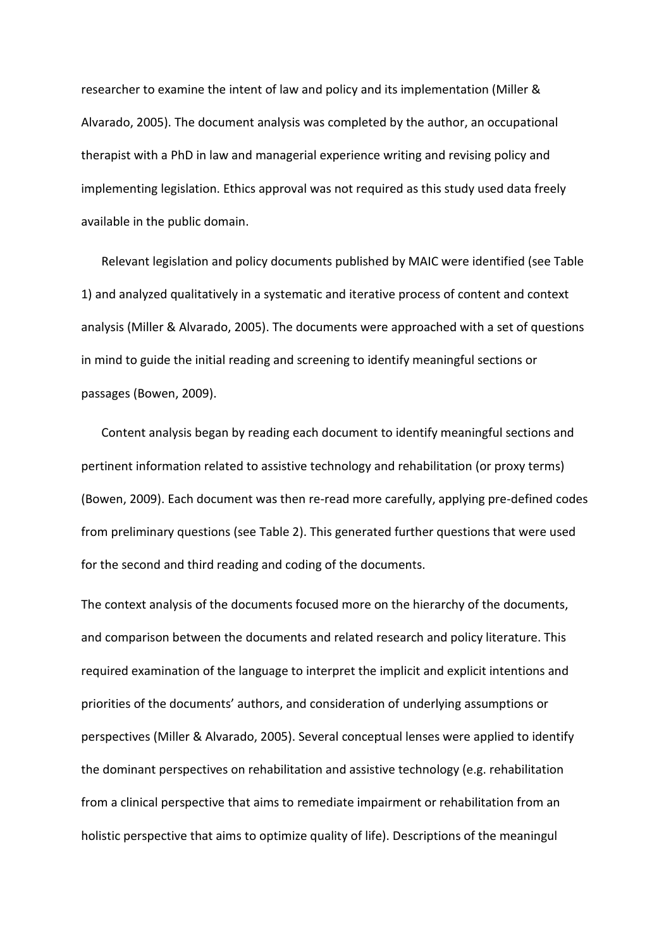researcher to examine the intent of law and policy and its implementation (Miller & Alvarado, 2005). The document analysis was completed by the author, an occupational therapist with a PhD in law and managerial experience writing and revising policy and implementing legislation. Ethics approval was not required as this study used data freely available in the public domain.

Relevant legislation and policy documents published by MAIC were identified (see Table 1) and analyzed qualitatively in a systematic and iterative process of content and context analysis (Miller & Alvarado, 2005). The documents were approached with a set of questions in mind to guide the initial reading and screening to identify meaningful sections or passages (Bowen, 2009).

Content analysis began by reading each document to identify meaningful sections and pertinent information related to assistive technology and rehabilitation (or proxy terms) (Bowen, 2009). Each document was then re-read more carefully, applying pre-defined codes from preliminary questions (see Table 2). This generated further questions that were used for the second and third reading and coding of the documents.

The context analysis of the documents focused more on the hierarchy of the documents, and comparison between the documents and related research and policy literature. This required examination of the language to interpret the implicit and explicit intentions and priorities of the documents' authors, and consideration of underlying assumptions or perspectives (Miller & Alvarado, 2005). Several conceptual lenses were applied to identify the dominant perspectives on rehabilitation and assistive technology (e.g. rehabilitation from a clinical perspective that aims to remediate impairment or rehabilitation from an holistic perspective that aims to optimize quality of life). Descriptions of the meaningul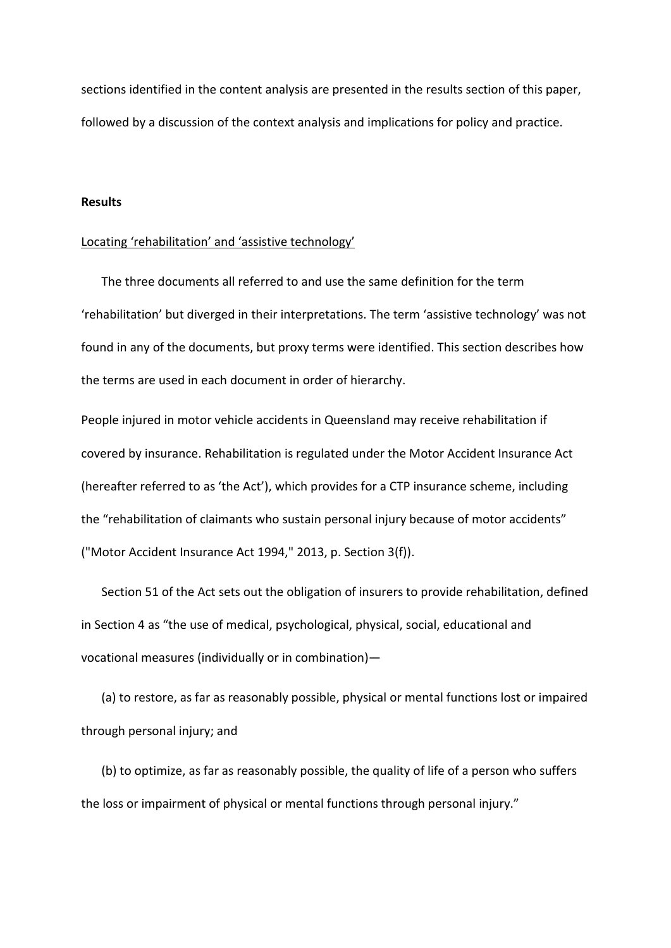sections identified in the content analysis are presented in the results section of this paper, followed by a discussion of the context analysis and implications for policy and practice.

#### **Results**

#### Locating 'rehabilitation' and 'assistive technology'

The three documents all referred to and use the same definition for the term 'rehabilitation' but diverged in their interpretations. The term 'assistive technology' was not found in any of the documents, but proxy terms were identified. This section describes how the terms are used in each document in order of hierarchy.

People injured in motor vehicle accidents in Queensland may receive rehabilitation if covered by insurance. Rehabilitation is regulated under the Motor Accident Insurance Act (hereafter referred to as 'the Act'), which provides for a CTP insurance scheme, including the "rehabilitation of claimants who sustain personal injury because of motor accidents" ("Motor Accident Insurance Act 1994," 2013, p. Section 3(f)).

Section 51 of the Act sets out the obligation of insurers to provide rehabilitation, defined in Section 4 as "the use of medical, psychological, physical, social, educational and vocational measures (individually or in combination)—

(a) to restore, as far as reasonably possible, physical or mental functions lost or impaired through personal injury; and

(b) to optimize, as far as reasonably possible, the quality of life of a person who suffers the loss or impairment of physical or mental functions through personal injury."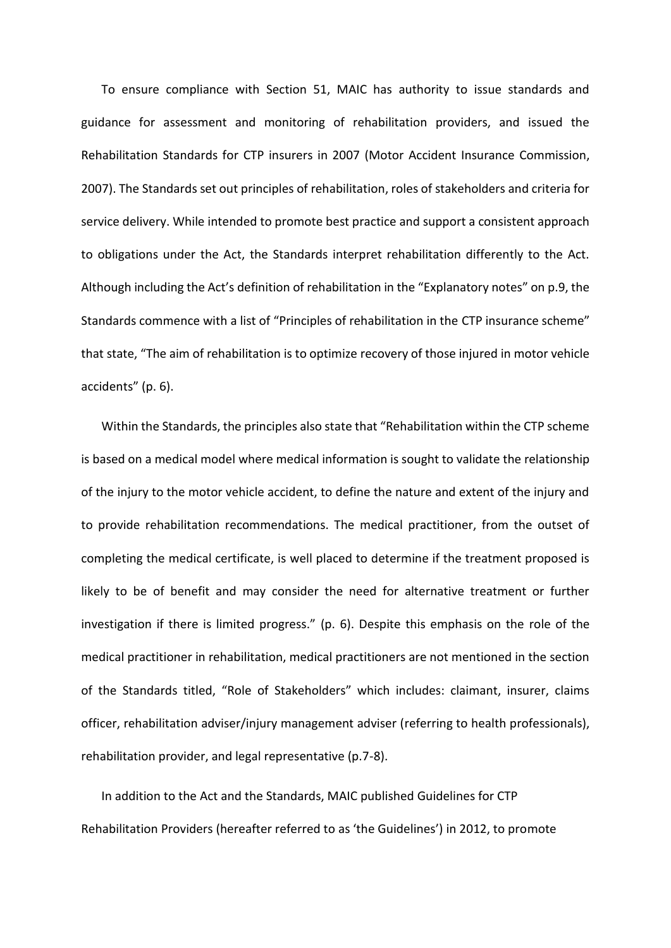To ensure compliance with Section 51, MAIC has authority to issue standards and guidance for assessment and monitoring of rehabilitation providers, and issued the Rehabilitation Standards for CTP insurers in 2007 (Motor Accident Insurance Commission, 2007). The Standards set out principles of rehabilitation, roles of stakeholders and criteria for service delivery. While intended to promote best practice and support a consistent approach to obligations under the Act, the Standards interpret rehabilitation differently to the Act. Although including the Act's definition of rehabilitation in the "Explanatory notes" on p.9, the Standards commence with a list of "Principles of rehabilitation in the CTP insurance scheme" that state, "The aim of rehabilitation is to optimize recovery of those injured in motor vehicle accidents" (p. 6).

Within the Standards, the principles also state that "Rehabilitation within the CTP scheme is based on a medical model where medical information is sought to validate the relationship of the injury to the motor vehicle accident, to define the nature and extent of the injury and to provide rehabilitation recommendations. The medical practitioner, from the outset of completing the medical certificate, is well placed to determine if the treatment proposed is likely to be of benefit and may consider the need for alternative treatment or further investigation if there is limited progress." (p. 6). Despite this emphasis on the role of the medical practitioner in rehabilitation, medical practitioners are not mentioned in the section of the Standards titled, "Role of Stakeholders" which includes: claimant, insurer, claims officer, rehabilitation adviser/injury management adviser (referring to health professionals), rehabilitation provider, and legal representative (p.7-8).

In addition to the Act and the Standards, MAIC published Guidelines for CTP Rehabilitation Providers (hereafter referred to as 'the Guidelines') in 2012, to promote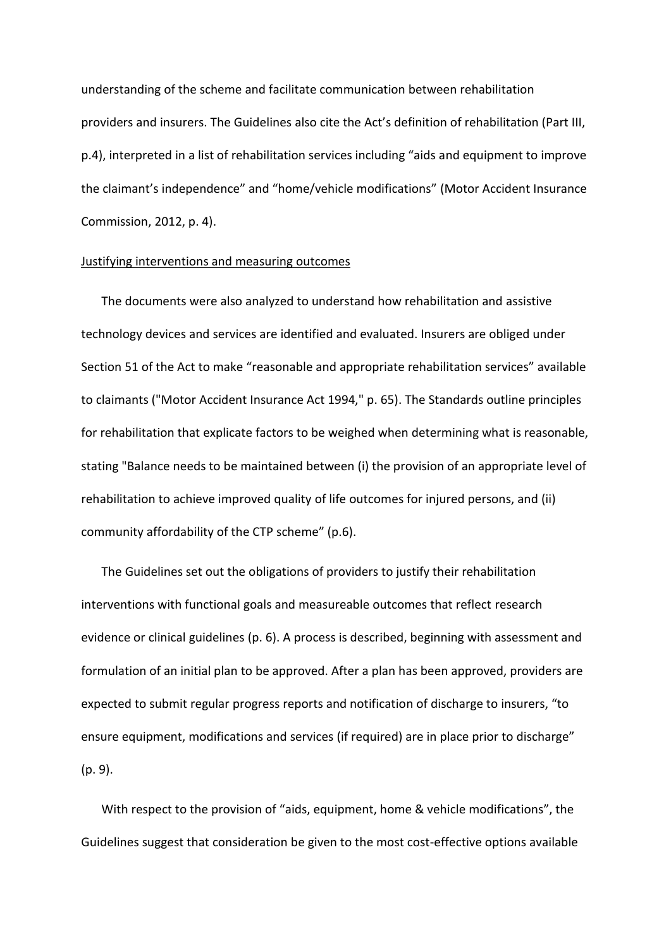understanding of the scheme and facilitate communication between rehabilitation providers and insurers. The Guidelines also cite the Act's definition of rehabilitation (Part III, p.4), interpreted in a list of rehabilitation services including "aids and equipment to improve the claimant's independence" and "home/vehicle modifications" (Motor Accident Insurance Commission, 2012, p. 4).

#### Justifying interventions and measuring outcomes

The documents were also analyzed to understand how rehabilitation and assistive technology devices and services are identified and evaluated. Insurers are obliged under Section 51 of the Act to make "reasonable and appropriate rehabilitation services" available to claimants ("Motor Accident Insurance Act 1994," p. 65). The Standards outline principles for rehabilitation that explicate factors to be weighed when determining what is reasonable, stating "Balance needs to be maintained between (i) the provision of an appropriate level of rehabilitation to achieve improved quality of life outcomes for injured persons, and (ii) community affordability of the CTP scheme" (p.6).

The Guidelines set out the obligations of providers to justify their rehabilitation interventions with functional goals and measureable outcomes that reflect research evidence or clinical guidelines (p. 6). A process is described, beginning with assessment and formulation of an initial plan to be approved. After a plan has been approved, providers are expected to submit regular progress reports and notification of discharge to insurers, "to ensure equipment, modifications and services (if required) are in place prior to discharge" (p. 9).

With respect to the provision of "aids, equipment, home & vehicle modifications", the Guidelines suggest that consideration be given to the most cost-effective options available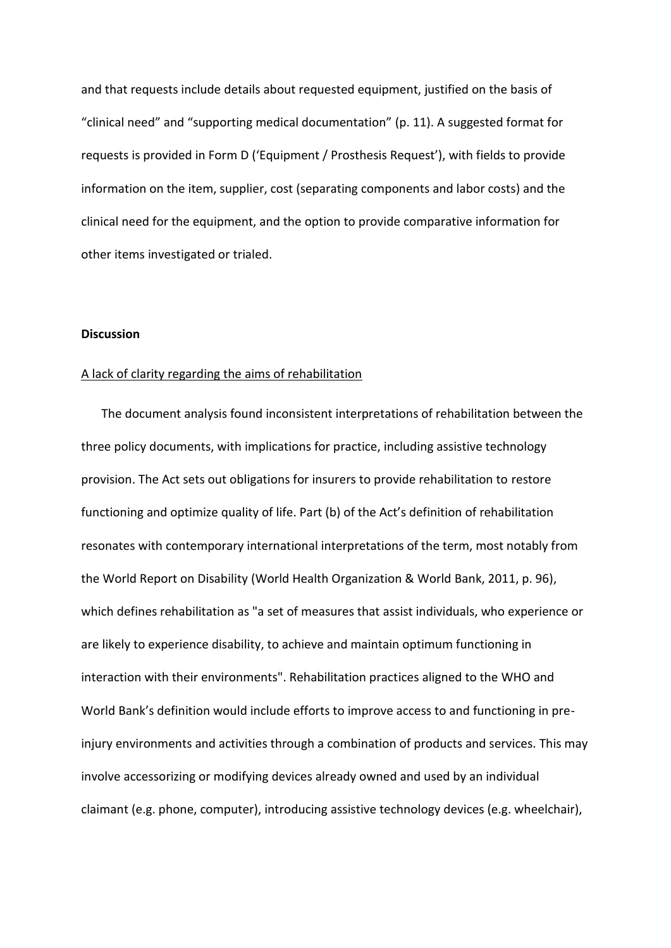and that requests include details about requested equipment, justified on the basis of "clinical need" and "supporting medical documentation" (p. 11). A suggested format for requests is provided in Form D ('Equipment / Prosthesis Request'), with fields to provide information on the item, supplier, cost (separating components and labor costs) and the clinical need for the equipment, and the option to provide comparative information for other items investigated or trialed.

#### **Discussion**

#### A lack of clarity regarding the aims of rehabilitation

The document analysis found inconsistent interpretations of rehabilitation between the three policy documents, with implications for practice, including assistive technology provision. The Act sets out obligations for insurers to provide rehabilitation to restore functioning and optimize quality of life. Part (b) of the Act's definition of rehabilitation resonates with contemporary international interpretations of the term, most notably from the World Report on Disability (World Health Organization & World Bank, 2011, p. 96), which defines rehabilitation as "a set of measures that assist individuals, who experience or are likely to experience disability, to achieve and maintain optimum functioning in interaction with their environments". Rehabilitation practices aligned to the WHO and World Bank's definition would include efforts to improve access to and functioning in preinjury environments and activities through a combination of products and services. This may involve accessorizing or modifying devices already owned and used by an individual claimant (e.g. phone, computer), introducing assistive technology devices (e.g. wheelchair),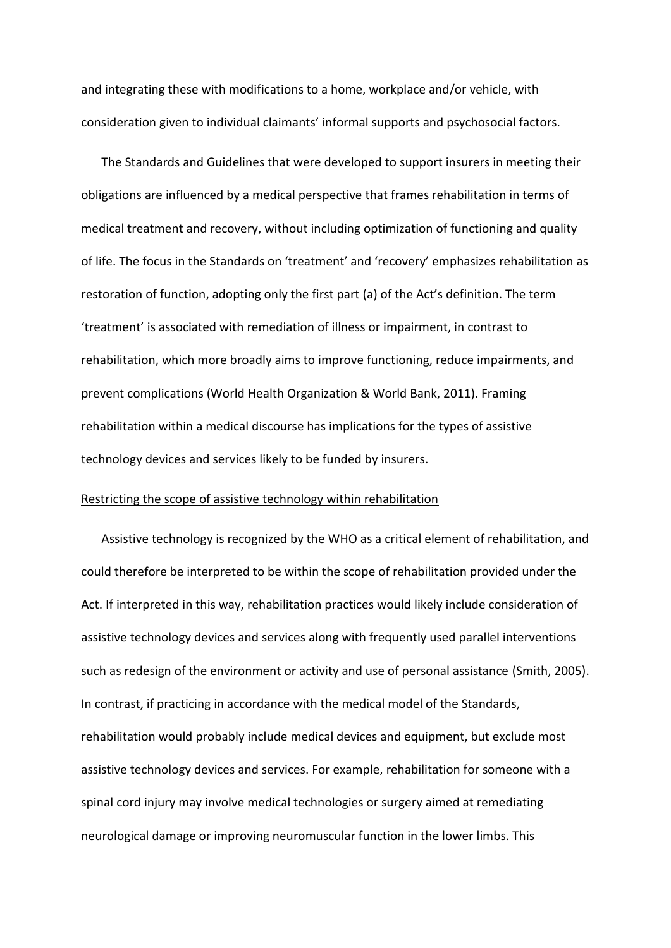and integrating these with modifications to a home, workplace and/or vehicle, with consideration given to individual claimants' informal supports and psychosocial factors.

The Standards and Guidelines that were developed to support insurers in meeting their obligations are influenced by a medical perspective that frames rehabilitation in terms of medical treatment and recovery, without including optimization of functioning and quality of life. The focus in the Standards on 'treatment' and 'recovery' emphasizes rehabilitation as restoration of function, adopting only the first part (a) of the Act's definition. The term 'treatment' is associated with remediation of illness or impairment, in contrast to rehabilitation, which more broadly aims to improve functioning, reduce impairments, and prevent complications (World Health Organization & World Bank, 2011). Framing rehabilitation within a medical discourse has implications for the types of assistive technology devices and services likely to be funded by insurers.

#### Restricting the scope of assistive technology within rehabilitation

Assistive technology is recognized by the WHO as a critical element of rehabilitation, and could therefore be interpreted to be within the scope of rehabilitation provided under the Act. If interpreted in this way, rehabilitation practices would likely include consideration of assistive technology devices and services along with frequently used parallel interventions such as redesign of the environment or activity and use of personal assistance (Smith, 2005). In contrast, if practicing in accordance with the medical model of the Standards, rehabilitation would probably include medical devices and equipment, but exclude most assistive technology devices and services. For example, rehabilitation for someone with a spinal cord injury may involve medical technologies or surgery aimed at remediating neurological damage or improving neuromuscular function in the lower limbs. This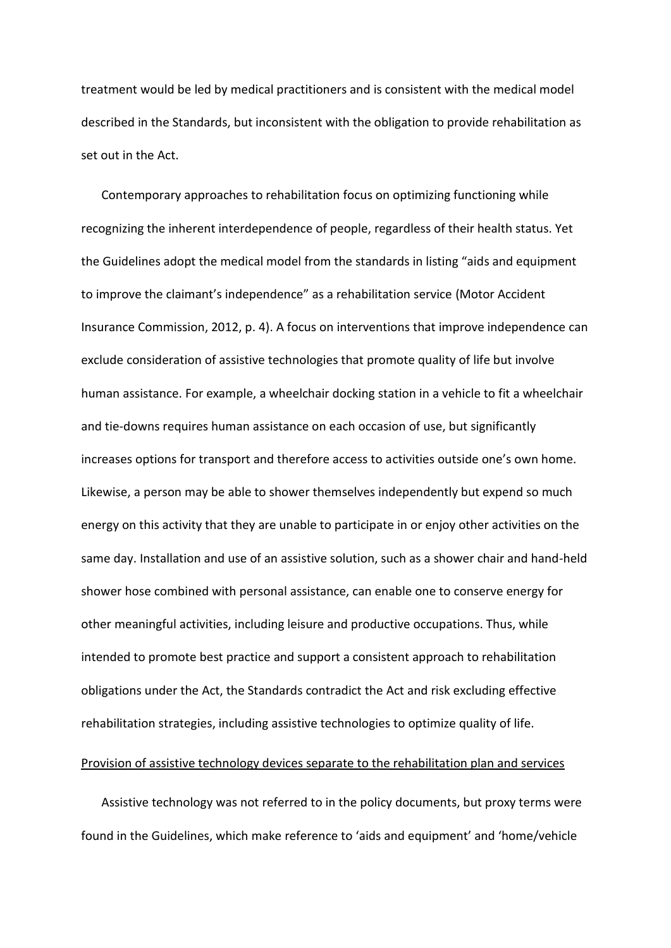treatment would be led by medical practitioners and is consistent with the medical model described in the Standards, but inconsistent with the obligation to provide rehabilitation as set out in the Act.

Contemporary approaches to rehabilitation focus on optimizing functioning while recognizing the inherent interdependence of people, regardless of their health status. Yet the Guidelines adopt the medical model from the standards in listing "aids and equipment to improve the claimant's independence" as a rehabilitation service (Motor Accident Insurance Commission, 2012, p. 4). A focus on interventions that improve independence can exclude consideration of assistive technologies that promote quality of life but involve human assistance. For example, a wheelchair docking station in a vehicle to fit a wheelchair and tie-downs requires human assistance on each occasion of use, but significantly increases options for transport and therefore access to activities outside one's own home. Likewise, a person may be able to shower themselves independently but expend so much energy on this activity that they are unable to participate in or enjoy other activities on the same day. Installation and use of an assistive solution, such as a shower chair and hand-held shower hose combined with personal assistance, can enable one to conserve energy for other meaningful activities, including leisure and productive occupations. Thus, while intended to promote best practice and support a consistent approach to rehabilitation obligations under the Act, the Standards contradict the Act and risk excluding effective rehabilitation strategies, including assistive technologies to optimize quality of life.

# Provision of assistive technology devices separate to the rehabilitation plan and services

Assistive technology was not referred to in the policy documents, but proxy terms were found in the Guidelines, which make reference to 'aids and equipment' and 'home/vehicle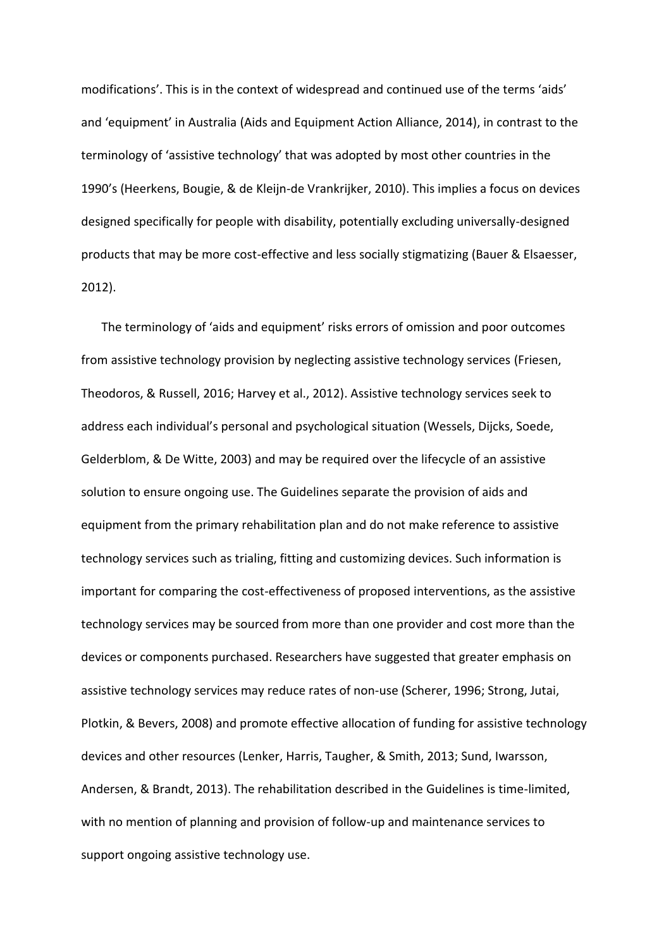modifications'. This is in the context of widespread and continued use of the terms 'aids' and 'equipment' in Australia (Aids and Equipment Action Alliance, 2014), in contrast to the terminology of 'assistive technology' that was adopted by most other countries in the 1990's (Heerkens, Bougie, & de Kleijn-de Vrankrijker, 2010). This implies a focus on devices designed specifically for people with disability, potentially excluding universally-designed products that may be more cost-effective and less socially stigmatizing (Bauer & Elsaesser, 2012).

The terminology of 'aids and equipment' risks errors of omission and poor outcomes from assistive technology provision by neglecting assistive technology services (Friesen, Theodoros, & Russell, 2016; Harvey et al., 2012). Assistive technology services seek to address each individual's personal and psychological situation (Wessels, Dijcks, Soede, Gelderblom, & De Witte, 2003) and may be required over the lifecycle of an assistive solution to ensure ongoing use. The Guidelines separate the provision of aids and equipment from the primary rehabilitation plan and do not make reference to assistive technology services such as trialing, fitting and customizing devices. Such information is important for comparing the cost-effectiveness of proposed interventions, as the assistive technology services may be sourced from more than one provider and cost more than the devices or components purchased. Researchers have suggested that greater emphasis on assistive technology services may reduce rates of non-use (Scherer, 1996; Strong, Jutai, Plotkin, & Bevers, 2008) and promote effective allocation of funding for assistive technology devices and other resources (Lenker, Harris, Taugher, & Smith, 2013; Sund, Iwarsson, Andersen, & Brandt, 2013). The rehabilitation described in the Guidelines is time-limited, with no mention of planning and provision of follow-up and maintenance services to support ongoing assistive technology use.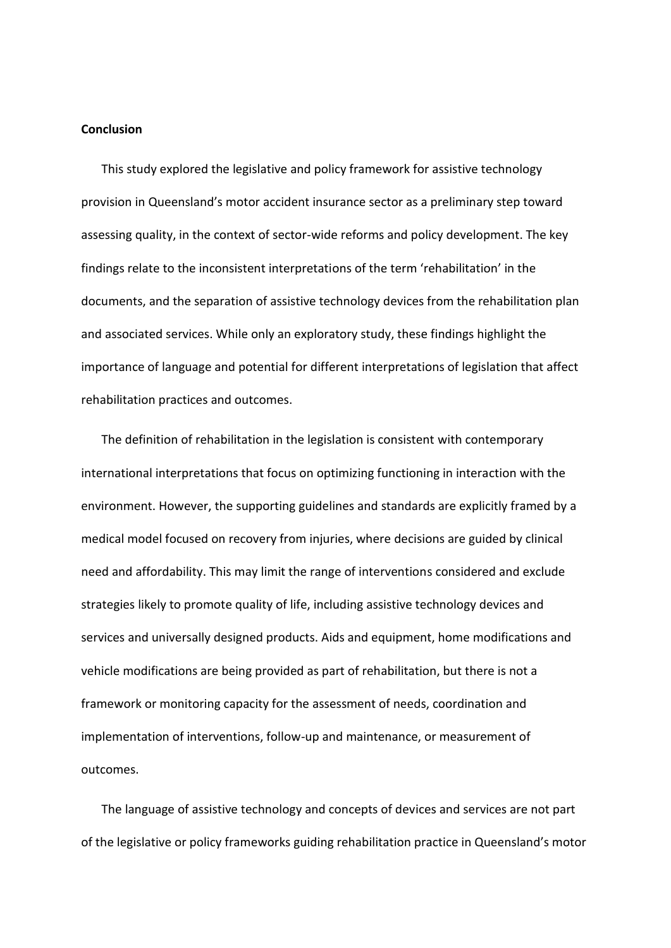# **Conclusion**

This study explored the legislative and policy framework for assistive technology provision in Queensland's motor accident insurance sector as a preliminary step toward assessing quality, in the context of sector-wide reforms and policy development. The key findings relate to the inconsistent interpretations of the term 'rehabilitation' in the documents, and the separation of assistive technology devices from the rehabilitation plan and associated services. While only an exploratory study, these findings highlight the importance of language and potential for different interpretations of legislation that affect rehabilitation practices and outcomes.

The definition of rehabilitation in the legislation is consistent with contemporary international interpretations that focus on optimizing functioning in interaction with the environment. However, the supporting guidelines and standards are explicitly framed by a medical model focused on recovery from injuries, where decisions are guided by clinical need and affordability. This may limit the range of interventions considered and exclude strategies likely to promote quality of life, including assistive technology devices and services and universally designed products. Aids and equipment, home modifications and vehicle modifications are being provided as part of rehabilitation, but there is not a framework or monitoring capacity for the assessment of needs, coordination and implementation of interventions, follow-up and maintenance, or measurement of outcomes.

The language of assistive technology and concepts of devices and services are not part of the legislative or policy frameworks guiding rehabilitation practice in Queensland's motor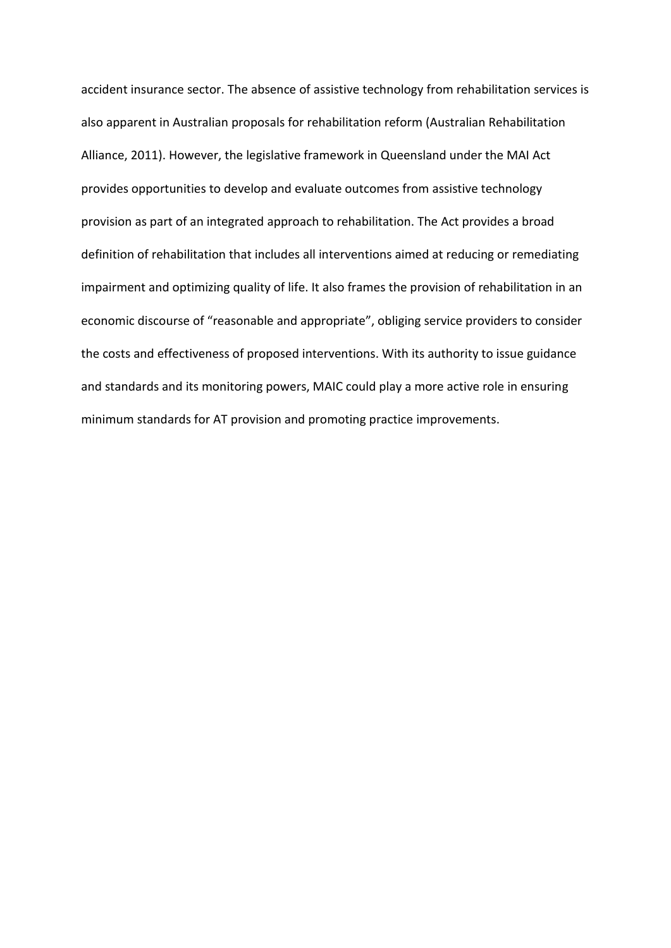accident insurance sector. The absence of assistive technology from rehabilitation services is also apparent in Australian proposals for rehabilitation reform (Australian Rehabilitation Alliance, 2011). However, the legislative framework in Queensland under the MAI Act provides opportunities to develop and evaluate outcomes from assistive technology provision as part of an integrated approach to rehabilitation. The Act provides a broad definition of rehabilitation that includes all interventions aimed at reducing or remediating impairment and optimizing quality of life. It also frames the provision of rehabilitation in an economic discourse of "reasonable and appropriate", obliging service providers to consider the costs and effectiveness of proposed interventions. With its authority to issue guidance and standards and its monitoring powers, MAIC could play a more active role in ensuring minimum standards for AT provision and promoting practice improvements.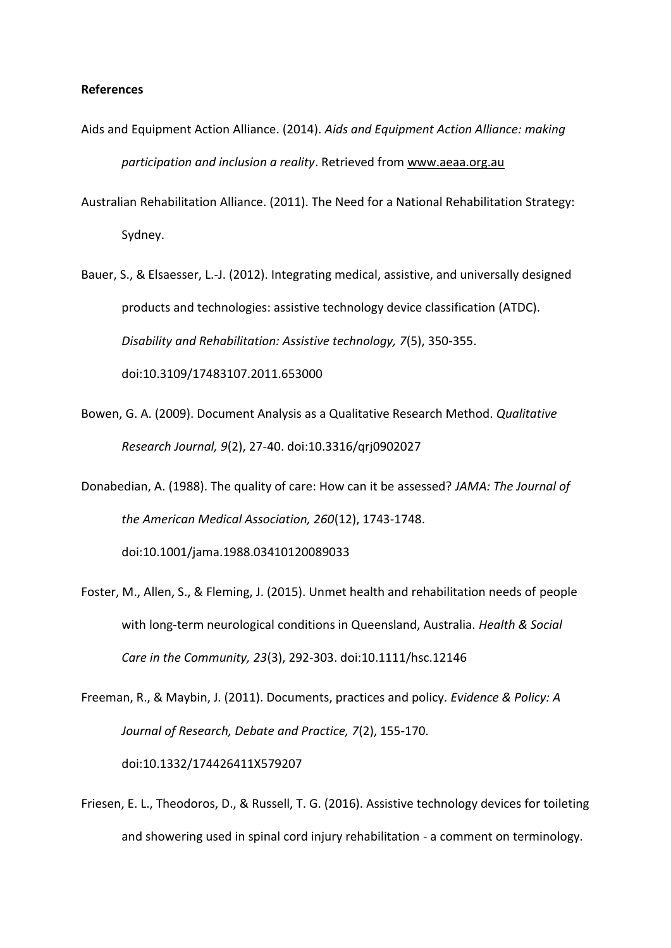# **References**

- Aids and Equipment Action Alliance. (2014). *Aids and Equipment Action Alliance: making participation and inclusion a reality*. Retrieved from www.aeaa.org.au
- Australian Rehabilitation Alliance. (2011). The Need for a National Rehabilitation Strategy: Sydney.
- Bauer, S., & Elsaesser, L.-J. (2012). Integrating medical, assistive, and universally designed products and technologies: assistive technology device classification (ATDC). *Disability and Rehabilitation: Assistive technology, 7*(5), 350-355. doi:10.3109/17483107.2011.653000
- Bowen, G. A. (2009). Document Analysis as a Qualitative Research Method. *Qualitative Research Journal, 9*(2), 27-40. doi:10.3316/qrj0902027
- Donabedian, A. (1988). The quality of care: How can it be assessed? *JAMA: The Journal of the American Medical Association, 260*(12), 1743-1748. doi:10.1001/jama.1988.03410120089033
- Foster, M., Allen, S., & Fleming, J. (2015). Unmet health and rehabilitation needs of people with long-term neurological conditions in Queensland, Australia. *Health & Social Care in the Community, 23*(3), 292-303. doi:10.1111/hsc.12146

Freeman, R., & Maybin, J. (2011). Documents, practices and policy. *Evidence & Policy: A Journal of Research, Debate and Practice, 7*(2), 155-170. doi:10.1332/174426411X579207

Friesen, E. L., Theodoros, D., & Russell, T. G. (2016). Assistive technology devices for toileting and showering used in spinal cord injury rehabilitation - a comment on terminology.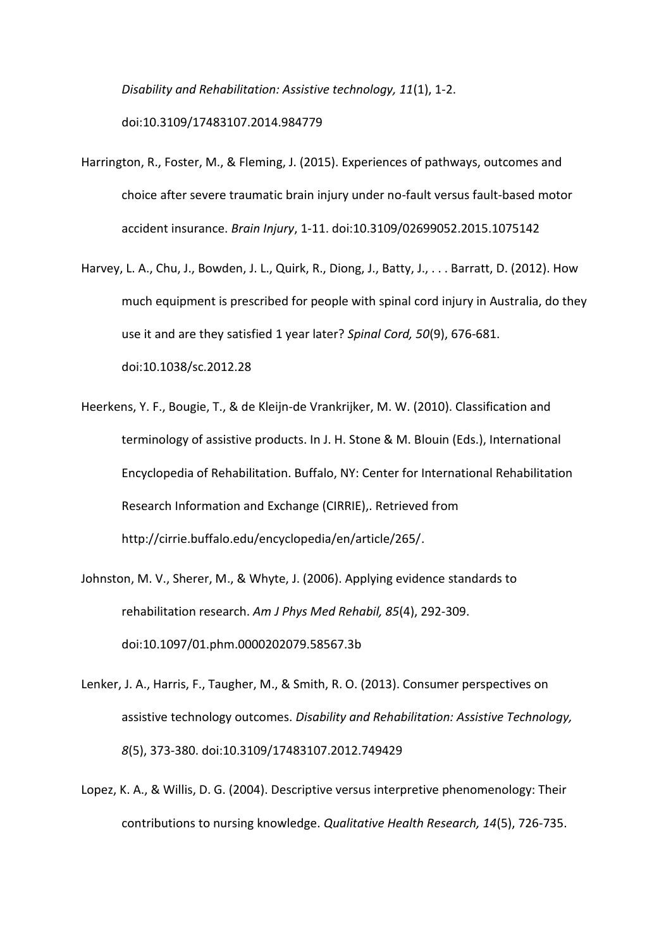*Disability and Rehabilitation: Assistive technology, 11*(1), 1-2. doi:10.3109/17483107.2014.984779

- Harrington, R., Foster, M., & Fleming, J. (2015). Experiences of pathways, outcomes and choice after severe traumatic brain injury under no-fault versus fault-based motor accident insurance. *Brain Injury*, 1-11. doi:10.3109/02699052.2015.1075142
- Harvey, L. A., Chu, J., Bowden, J. L., Quirk, R., Diong, J., Batty, J., . . . Barratt, D. (2012). How much equipment is prescribed for people with spinal cord injury in Australia, do they use it and are they satisfied 1 year later? *Spinal Cord, 50*(9), 676-681. doi:10.1038/sc.2012.28
- Heerkens, Y. F., Bougie, T., & de Kleijn-de Vrankrijker, M. W. (2010). Classification and terminology of assistive products. In J. H. Stone & M. Blouin (Eds.), International Encyclopedia of Rehabilitation. Buffalo, NY: Center for International Rehabilitation Research Information and Exchange (CIRRIE),. Retrieved from http://cirrie.buffalo.edu/encyclopedia/en/article/265/.
- Johnston, M. V., Sherer, M., & Whyte, J. (2006). Applying evidence standards to rehabilitation research. *Am J Phys Med Rehabil, 85*(4), 292-309. doi:10.1097/01.phm.0000202079.58567.3b
- Lenker, J. A., Harris, F., Taugher, M., & Smith, R. O. (2013). Consumer perspectives on assistive technology outcomes. *Disability and Rehabilitation: Assistive Technology, 8*(5), 373-380. doi:10.3109/17483107.2012.749429
- Lopez, K. A., & Willis, D. G. (2004). Descriptive versus interpretive phenomenology: Their contributions to nursing knowledge. *Qualitative Health Research, 14*(5), 726-735.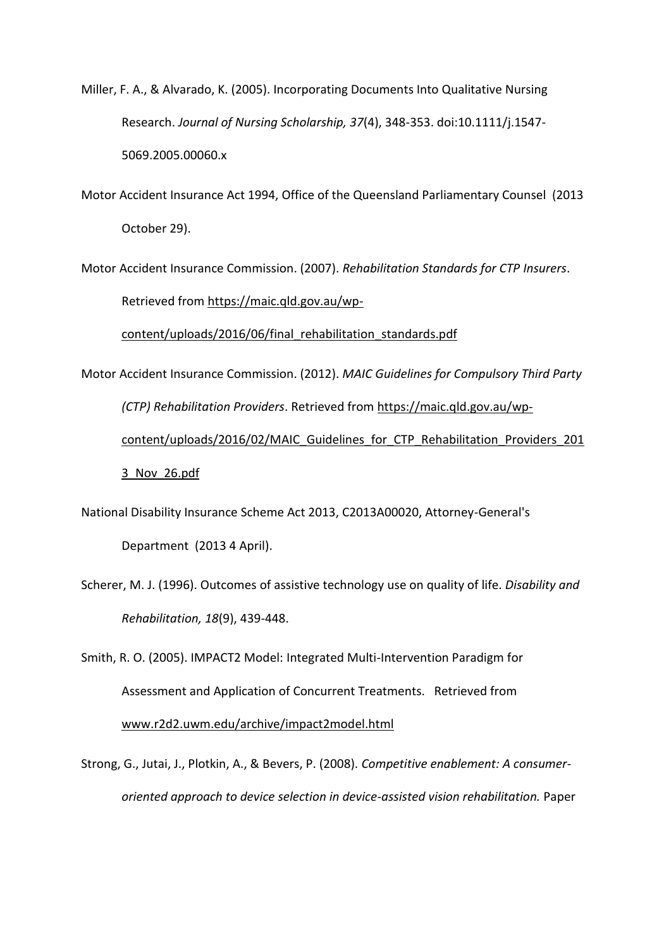Miller, F. A., & Alvarado, K. (2005). Incorporating Documents Into Qualitative Nursing Research. *Journal of Nursing Scholarship, 37*(4), 348-353. doi:10.1111/j.1547- 5069.2005.00060.x

Motor Accident Insurance Act 1994, Office of the Queensland Parliamentary Counsel (2013 October 29).

Motor Accident Insurance Commission. (2007). *Rehabilitation Standards for CTP Insurers*. Retrieved from https://maic.qld.gov.au/wp-

content/uploads/2016/06/final\_rehabilitation\_standards.pdf

Motor Accident Insurance Commission. (2012). *MAIC Guidelines for Compulsory Third Party (CTP) Rehabilitation Providers*. Retrieved from https://maic.qld.gov.au/wpcontent/uploads/2016/02/MAIC\_Guidelines\_for\_CTP\_Rehabilitation\_Providers\_201 3\_Nov\_26.pdf

National Disability Insurance Scheme Act 2013, C2013A00020, Attorney-General's Department (2013 4 April).

Scherer, M. J. (1996). Outcomes of assistive technology use on quality of life. *Disability and Rehabilitation, 18*(9), 439-448.

Smith, R. O. (2005). IMPACT2 Model: Integrated Multi-Intervention Paradigm for Assessment and Application of Concurrent Treatments. Retrieved from www.r2d2.uwm.edu/archive/impact2model.html

Strong, G., Jutai, J., Plotkin, A., & Bevers, P. (2008). *Competitive enablement: A consumeroriented approach to device selection in device-assisted vision rehabilitation.* Paper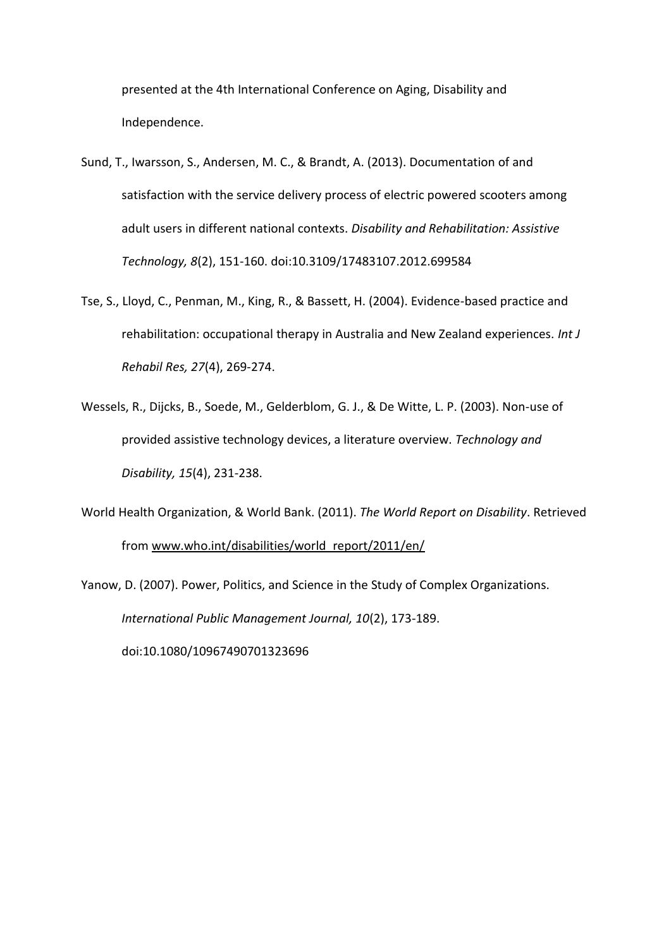presented at the 4th International Conference on Aging, Disability and Independence.

- Sund, T., Iwarsson, S., Andersen, M. C., & Brandt, A. (2013). Documentation of and satisfaction with the service delivery process of electric powered scooters among adult users in different national contexts. *Disability and Rehabilitation: Assistive Technology, 8*(2), 151-160. doi:10.3109/17483107.2012.699584
- Tse, S., Lloyd, C., Penman, M., King, R., & Bassett, H. (2004). Evidence-based practice and rehabilitation: occupational therapy in Australia and New Zealand experiences. *Int J Rehabil Res, 27*(4), 269-274.
- Wessels, R., Dijcks, B., Soede, M., Gelderblom, G. J., & De Witte, L. P. (2003). Non-use of provided assistive technology devices, a literature overview. *Technology and Disability, 15*(4), 231-238.
- World Health Organization, & World Bank. (2011). *The World Report on Disability*. Retrieved from www.who.int/disabilities/world\_report/2011/en/

Yanow, D. (2007). Power, Politics, and Science in the Study of Complex Organizations. *International Public Management Journal, 10*(2), 173-189. doi:10.1080/10967490701323696